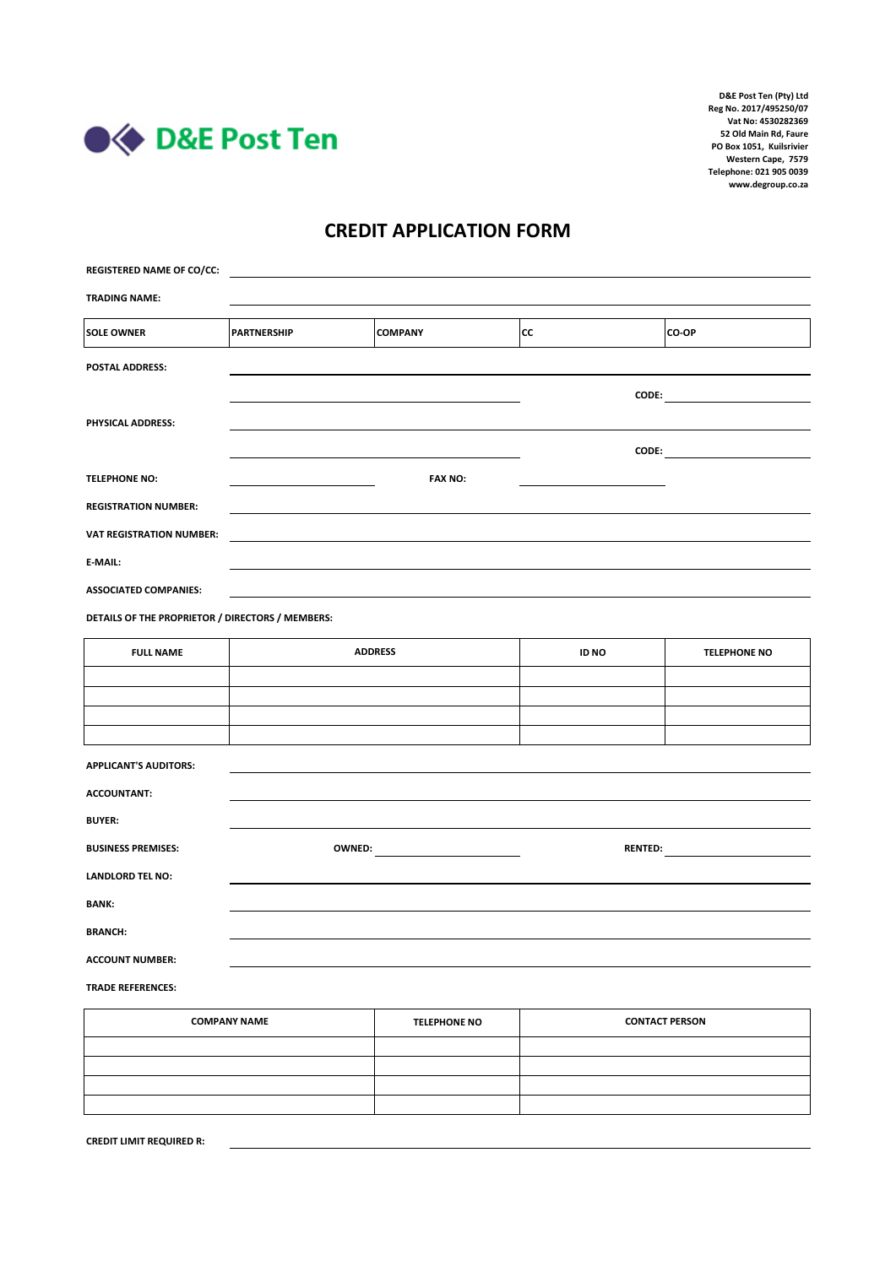

## **CREDIT APPLICATION FORM**

| <b>REGISTERED NAME OF CO/CC:</b>                 |                    |                     |                                          |                     |  |
|--------------------------------------------------|--------------------|---------------------|------------------------------------------|---------------------|--|
| <b>TRADING NAME:</b>                             |                    |                     |                                          |                     |  |
| <b>SOLE OWNER</b>                                | <b>PARTNERSHIP</b> | <b>COMPANY</b>      | <b>CC</b>                                | CO-OP               |  |
| <b>POSTAL ADDRESS:</b>                           |                    |                     |                                          |                     |  |
|                                                  |                    |                     |                                          |                     |  |
| PHYSICAL ADDRESS:                                |                    |                     |                                          |                     |  |
|                                                  |                    |                     |                                          |                     |  |
| <b>TELEPHONE NO:</b>                             |                    | <b>FAX NO:</b>      |                                          |                     |  |
| <b>REGISTRATION NUMBER:</b>                      |                    |                     |                                          |                     |  |
| <b>VAT REGISTRATION NUMBER:</b>                  |                    |                     |                                          |                     |  |
| E-MAIL:                                          |                    |                     |                                          |                     |  |
| <b>ASSOCIATED COMPANIES:</b>                     |                    |                     |                                          |                     |  |
| DETAILS OF THE PROPRIETOR / DIRECTORS / MEMBERS: |                    |                     |                                          |                     |  |
| <b>FULL NAME</b>                                 | <b>ADDRESS</b>     |                     | <b>ID NO</b>                             | <b>TELEPHONE NO</b> |  |
|                                                  |                    |                     |                                          |                     |  |
|                                                  |                    |                     |                                          |                     |  |
|                                                  |                    |                     |                                          |                     |  |
| <b>APPLICANT'S AUDITORS:</b>                     |                    |                     |                                          |                     |  |
| <b>ACCOUNTANT:</b>                               |                    |                     |                                          |                     |  |
| <b>BUYER:</b>                                    |                    |                     |                                          |                     |  |
| <b>BUSINESS PREMISES:</b>                        |                    |                     | RENTED: <b>All and Service Contracts</b> |                     |  |
| <b>LANDLORD TEL NO:</b>                          |                    |                     |                                          |                     |  |
| <b>BANK:</b>                                     |                    |                     |                                          |                     |  |
| <b>BRANCH:</b>                                   |                    |                     |                                          |                     |  |
| <b>ACCOUNT NUMBER:</b>                           |                    |                     |                                          |                     |  |
| <b>TRADE REFERENCES:</b>                         |                    |                     |                                          |                     |  |
| <b>COMPANY NAME</b>                              |                    | <b>TELEPHONE NO</b> | <b>CONTACT PERSON</b>                    |                     |  |
|                                                  |                    |                     |                                          |                     |  |

| <b>COMPANY NAME</b> | <b>TELEPHONE NO</b> | <b>CONTACT PERSON</b> |
|---------------------|---------------------|-----------------------|
|                     |                     |                       |
|                     |                     |                       |
|                     |                     |                       |
|                     |                     |                       |
|                     |                     |                       |

**CREDIT LIMIT REQUIRED R:**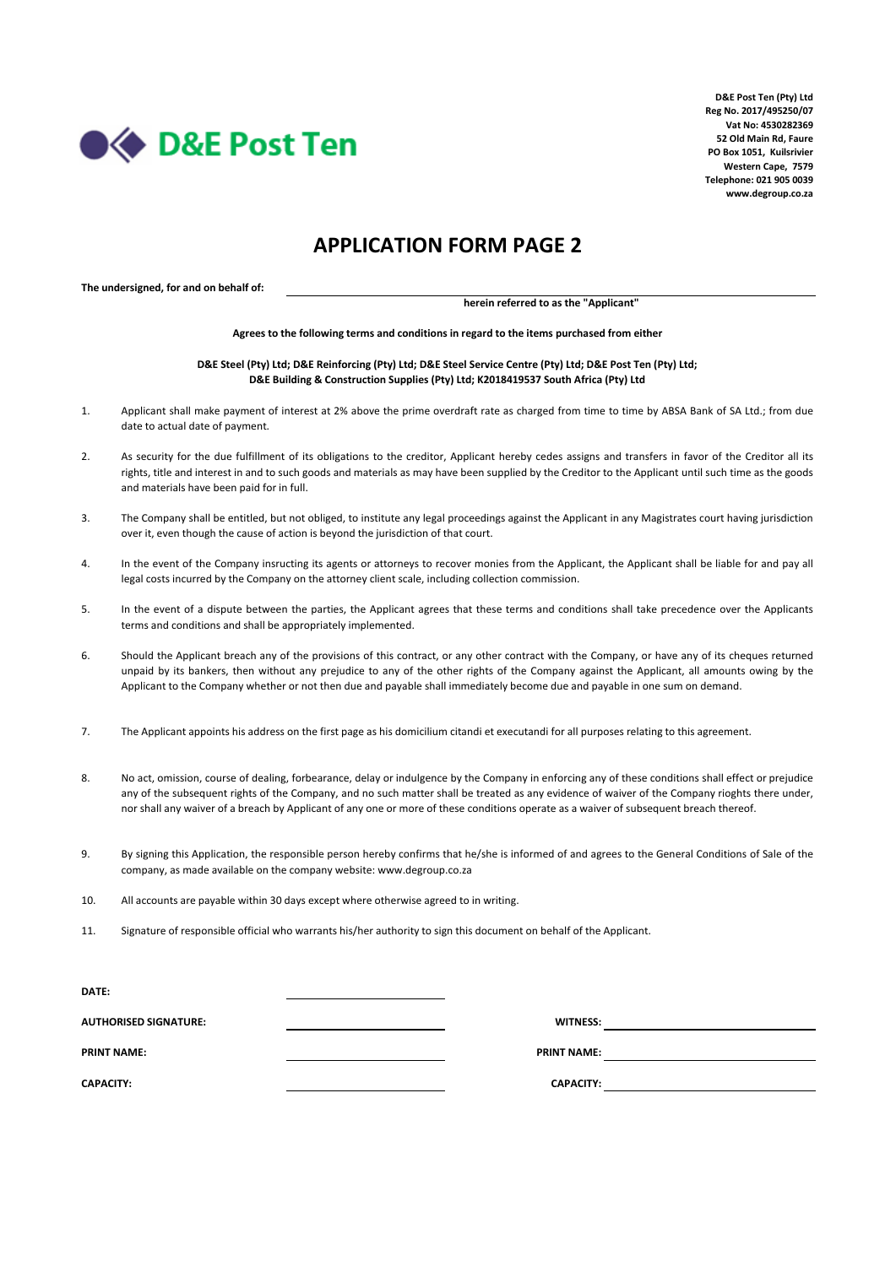

## **APPLICATION FORM PAGE 2**

**The undersigned, for and on behalf of:**

**herein referred to as the "Applicant"**

**Agrees to the following terms and conditions in regard to the items purchased from either**

**D&E Steel (Pty) Ltd; D&E Reinforcing (Pty) Ltd; D&E Steel Service Centre (Pty) Ltd; D&E Post Ten (Pty) Ltd; D&E Building & Construction Supplies (Pty) Ltd; K2018419537 South Africa (Pty) Ltd**

- 1. Applicant shall make payment of interest at 2% above the prime overdraft rate as charged from time to time by ABSA Bank of SA Ltd.; from due date to actual date of payment.
- $2.5$ As security for the due fulfillment of its obligations to the creditor, Applicant hereby cedes assigns and transfers in favor of the Creditor all its rights, title and interest in and to such goods and materials as may have been supplied by the Creditor to the Applicant until such time as the goods and materials have been paid for in full.
- 3. The Company shall be entitled, but not obliged, to institute any legal proceedings against the Applicant in any Magistrates court having jurisdiction over it, even though the cause of action is beyond the jurisdiction of that court.
- 4. In the event of the Company insructing its agents or attorneys to recover monies from the Applicant, the Applicant shall be liable for and pay all legal costs incurred by the Company on the attorney client scale, including collection commission.
- 5. In the event of a dispute between the parties, the Applicant agrees that these terms and conditions shall take precedence over the Applicants terms and conditions and shall be appropriately implemented.
- 6. Should the Applicant breach any of the provisions of this contract, or any other contract with the Company, or have any of its cheques returned unpaid by its bankers, then without any prejudice to any of the other rights of the Company against the Applicant, all amounts owing by the Applicant to the Company whether or not then due and payable shall immediately become due and payable in one sum on demand.
- 7. The Applicant appoints his address on the first page as his domicilium citandi et executandi for all purposes relating to this agreement.
- 8. No act, omission, course of dealing, forbearance, delay or indulgence by the Company in enforcing any of these conditions shall effect or prejudice any of the subsequent rights of the Company, and no such matter shall be treated as any evidence of waiver of the Company rioghts there under, nor shall any waiver of a breach by Applicant of any one or more of these conditions operate as a waiver of subsequent breach thereof.
- 9. By signing this Application, the responsible person hereby confirms that he/she is informed of and agrees to the General Conditions of Sale of the company, as made available on the company website: www.degroup.co.za
- 10. All accounts are payable within 30 days except where otherwise agreed to in writing.
- 11. Signature of responsible official who warrants his/her authority to sign this document on behalf of the Applicant.

| <b>DATE:</b>                 |                    |  |
|------------------------------|--------------------|--|
| <b>AUTHORISED SIGNATURE:</b> | <b>WITNESS:</b>    |  |
| <b>PRINT NAME:</b>           | <b>PRINT NAME:</b> |  |
| <b>CAPACITY:</b>             | <b>CAPACITY:</b>   |  |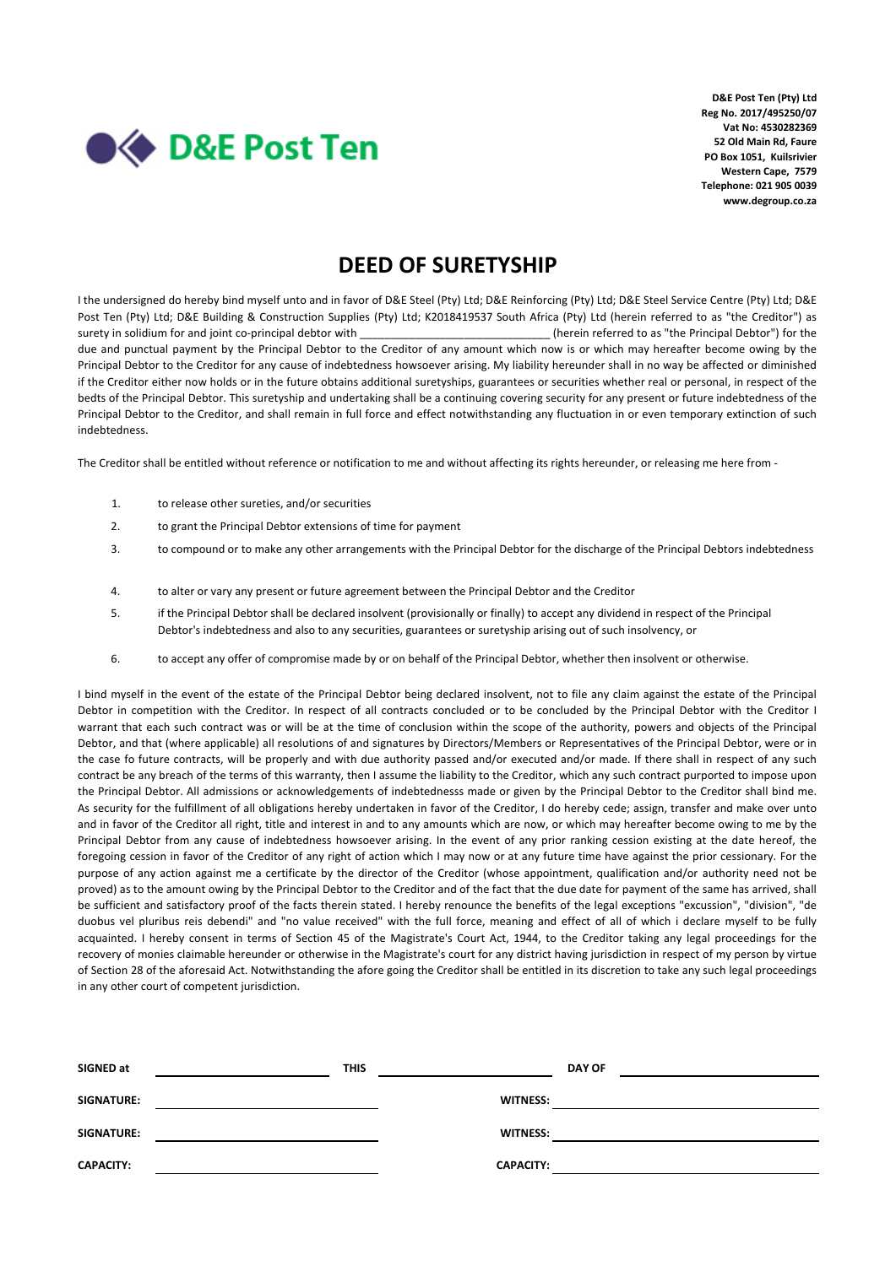

## **DEED OF SURETYSHIP**

I the undersigned do hereby bind myself unto and in favor of D&E Steel (Pty) Ltd; D&E Reinforcing (Pty) Ltd; D&E Steel Service Centre (Pty) Ltd; D&E Post Ten (Pty) Ltd; D&E Building & Construction Supplies (Pty) Ltd; K2018419537 South Africa (Pty) Ltd (herein referred to as "the Creditor") as surety in solidium for and joint co-principal debtor with \_\_\_\_\_\_\_\_\_\_\_\_\_\_\_\_\_\_\_\_\_\_\_\_\_\_\_\_\_\_\_ (herein referred to as "the Principal Debtor") for the due and punctual payment by the Principal Debtor to the Creditor of any amount which now is or which may hereafter become owing by the Principal Debtor to the Creditor for any cause of indebtedness howsoever arising. My liability hereunder shall in no way be affected or diminished if the Creditor either now holds or in the future obtains additional suretyships, guarantees or securities whether real or personal, in respect of the bedts of the Principal Debtor. This suretyship and undertaking shall be a continuing covering security for any present or future indebtedness of the Principal Debtor to the Creditor, and shall remain in full force and effect notwithstanding any fluctuation in or even temporary extinction of such indebtedness.

The Creditor shall be entitled without reference or notification to me and without affecting its rights hereunder, or releasing me here from -

- 1. to release other sureties, and/or securities
- 2. to grant the Principal Debtor extensions of time for payment
- 3. to compound or to make any other arrangements with the Principal Debtor for the discharge of the Principal Debtors indebtedness
- 4. to alter or vary any present or future agreement between the Principal Debtor and the Creditor
- 5. if the Principal Debtor shall be declared insolvent (provisionally or finally) to accept any dividend in respect of the Principal Debtor's indebtedness and also to any securities, guarantees or suretyship arising out of such insolvency, or
- 6. to accept any offer of compromise made by or on behalf of the Principal Debtor, whether then insolvent or otherwise.

I bind myself in the event of the estate of the Principal Debtor being declared insolvent, not to file any claim against the estate of the Principal Debtor in competition with the Creditor. In respect of all contracts concluded or to be concluded by the Principal Debtor with the Creditor I warrant that each such contract was or will be at the time of conclusion within the scope of the authority, powers and objects of the Principal Debtor, and that (where applicable) all resolutions of and signatures by Directors/Members or Representatives of the Principal Debtor, were or in the case fo future contracts, will be properly and with due authority passed and/or executed and/or made. If there shall in respect of any such contract be any breach of the terms of this warranty, then I assume the liability to the Creditor, which any such contract purported to impose upon the Principal Debtor. All admissions or acknowledgements of indebtednesss made or given by the Principal Debtor to the Creditor shall bind me. As security for the fulfillment of all obligations hereby undertaken in favor of the Creditor, I do hereby cede; assign, transfer and make over unto and in favor of the Creditor all right, title and interest in and to any amounts which are now, or which may hereafter become owing to me by the Principal Debtor from any cause of indebtedness howsoever arising. In the event of any prior ranking cession existing at the date hereof, the foregoing cession in favor of the Creditor of any right of action which I may now or at any future time have against the prior cessionary. For the purpose of any action against me a certificate by the director of the Creditor (whose appointment, qualification and/or authority need not be proved) as to the amount owing by the Principal Debtor to the Creditor and of the fact that the due date for payment of the same has arrived, shall be sufficient and satisfactory proof of the facts therein stated. I hereby renounce the benefits of the legal exceptions "excussion", "division", "de duobus vel pluribus reis debendi" and "no value received" with the full force, meaning and effect of all of which i declare myself to be fully acquainted. I hereby consent in terms of Section 45 of the Magistrate's Court Act, 1944, to the Creditor taking any legal proceedings for the recovery of monies claimable hereunder or otherwise in the Magistrate's court for any district having jurisdiction in respect of my person by virtue of Section 28 of the aforesaid Act. Notwithstanding the afore going the Creditor shall be entitled in its discretion to take any such legal proceedings in any other court of competent jurisdiction.

| SIGNED at        | <b>THIS</b> |                  | <b>DAY OF</b> |
|------------------|-------------|------------------|---------------|
| SIGNATURE:       |             | <b>WITNESS:</b>  |               |
| SIGNATURE:       |             | <b>WITNESS:</b>  |               |
| <b>CAPACITY:</b> |             | <b>CAPACITY:</b> |               |